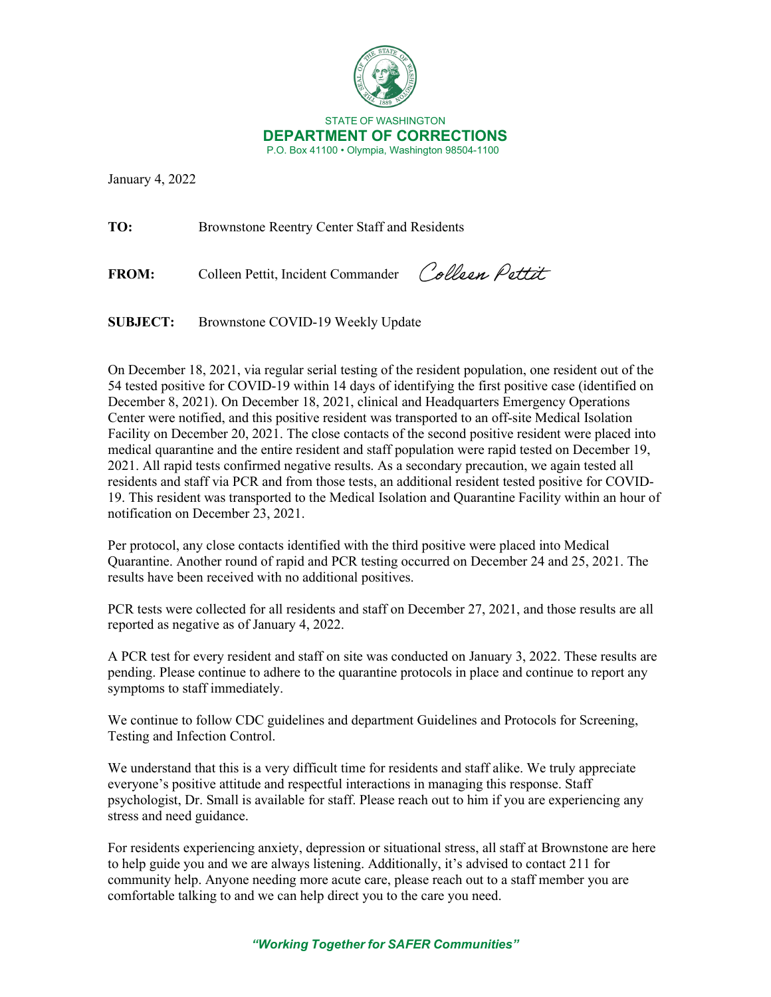

January 4, 2022

**TO:** Brownstone Reentry Center Staff and Residents

**FROM:** Colleen Pettit, Incident Commander

Collean Pettit

**SUBJECT:** Brownstone COVID-19 Weekly Update

On December 18, 2021, via regular serial testing of the resident population, one resident out of the 54 tested positive for COVID-19 within 14 days of identifying the first positive case (identified on December 8, 2021). On December 18, 2021, clinical and Headquarters Emergency Operations Center were notified, and this positive resident was transported to an off-site Medical Isolation Facility on December 20, 2021. The close contacts of the second positive resident were placed into medical quarantine and the entire resident and staff population were rapid tested on December 19, 2021. All rapid tests confirmed negative results. As a secondary precaution, we again tested all residents and staff via PCR and from those tests, an additional resident tested positive for COVID-19. This resident was transported to the Medical Isolation and Quarantine Facility within an hour of notification on December 23, 2021.

Per protocol, any close contacts identified with the third positive were placed into Medical Quarantine. Another round of rapid and PCR testing occurred on December 24 and 25, 2021. The results have been received with no additional positives.

PCR tests were collected for all residents and staff on December 27, 2021, and those results are all reported as negative as of January 4, 2022.

A PCR test for every resident and staff on site was conducted on January 3, 2022. These results are pending. Please continue to adhere to the quarantine protocols in place and continue to report any symptoms to staff immediately.

We continue to follow CDC guidelines and department Guidelines and Protocols for Screening, Testing and Infection Control.

We understand that this is a very difficult time for residents and staff alike. We truly appreciate everyone's positive attitude and respectful interactions in managing this response. Staff psychologist, Dr. Small is available for staff. Please reach out to him if you are experiencing any stress and need guidance.

For residents experiencing anxiety, depression or situational stress, all staff at Brownstone are here to help guide you and we are always listening. Additionally, it's advised to contact 211 for community help. Anyone needing more acute care, please reach out to a staff member you are comfortable talking to and we can help direct you to the care you need.